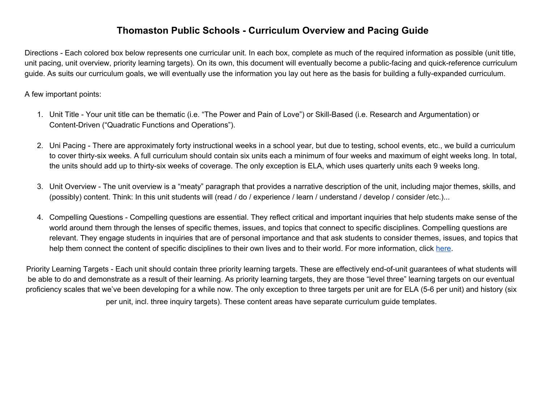## **Thomaston Public Schools - Curriculum Overview and Pacing Guide**

Directions - Each colored box below represents one curricular unit. In each box, complete as much of the required information as possible (unit title, unit pacing, unit overview, priority learning targets). On its own, this document will eventually become a public-facing and quick-reference curriculum guide. As suits our curriculum goals, we will eventually use the information you lay out here as the basis for building a fully-expanded curriculum.

## A few important points:

- 1. Unit Title Your unit title can be thematic (i.e. "The Power and Pain of Love") or Skill-Based (i.e. Research and Argumentation) or Content-Driven ("Quadratic Functions and Operations").
- 2. Uni Pacing There are approximately forty instructional weeks in a school year, but due to testing, school events, etc., we build a curriculum to cover thirty-six weeks. A full curriculum should contain six units each a minimum of four weeks and maximum of eight weeks long. In total, the units should add up to thirty-six weeks of coverage. The only exception is ELA, which uses quarterly units each 9 weeks long.
- 3. Unit Overview The unit overview is a "meaty" paragraph that provides a narrative description of the unit, including major themes, skills, and (possibly) content. Think: In this unit students will (read / do / experience / learn / understand / develop / consider /etc.)...
- 4. Compelling Questions Compelling questions are essential. They reflect critical and important inquiries that help students make sense of the world around them through the lenses of specific themes, issues, and topics that connect to specific disciplines. Compelling questions are relevant. They engage students in inquiries that are of personal importance and that ask students to consider themes, issues, and topics that help them connect the content of specific disciplines to their own lives and to their world. For more information, click [here.](https://docs.google.com/presentation/d/1MQeWg7v5tpC5e7Bm5vmcUhD1Q2tV9uzZum4JBNqLyjk/edit?usp=sharing)

Priority Learning Targets - Each unit should contain three priority learning targets. These are effectively end-of-unit guarantees of what students will be able to do and demonstrate as a result of their learning. As priority learning targets, they are those "level three" learning targets on our eventual proficiency scales that we've been developing for a while now. The only exception to three targets per unit are for ELA (5-6 per unit) and history (six per unit, incl. three inquiry targets). These content areas have separate curriculum guide templates.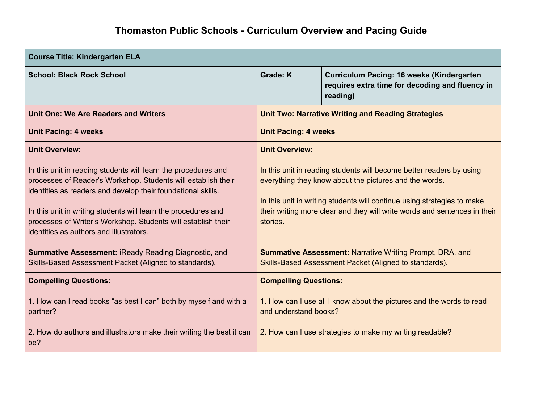| <b>Course Title: Kindergarten ELA</b>                                                                                                                                                                                                                                                                                                                                         |                                                                                                                                                                                                                                                                                                    |                                                                                                          |
|-------------------------------------------------------------------------------------------------------------------------------------------------------------------------------------------------------------------------------------------------------------------------------------------------------------------------------------------------------------------------------|----------------------------------------------------------------------------------------------------------------------------------------------------------------------------------------------------------------------------------------------------------------------------------------------------|----------------------------------------------------------------------------------------------------------|
| <b>School: Black Rock School</b>                                                                                                                                                                                                                                                                                                                                              | <b>Grade: K</b>                                                                                                                                                                                                                                                                                    | Curriculum Pacing: 16 weeks (Kindergarten<br>requires extra time for decoding and fluency in<br>reading) |
| <b>Unit One: We Are Readers and Writers</b>                                                                                                                                                                                                                                                                                                                                   | <b>Unit Two: Narrative Writing and Reading Strategies</b>                                                                                                                                                                                                                                          |                                                                                                          |
| <b>Unit Pacing: 4 weeks</b>                                                                                                                                                                                                                                                                                                                                                   | <b>Unit Pacing: 4 weeks</b>                                                                                                                                                                                                                                                                        |                                                                                                          |
| <b>Unit Overview:</b>                                                                                                                                                                                                                                                                                                                                                         | <b>Unit Overview:</b>                                                                                                                                                                                                                                                                              |                                                                                                          |
| In this unit in reading students will learn the procedures and<br>processes of Reader's Workshop. Students will establish their<br>identities as readers and develop their foundational skills.<br>In this unit in writing students will learn the procedures and<br>processes of Writer's Workshop. Students will establish their<br>identities as authors and illustrators. | In this unit in reading students will become better readers by using<br>everything they know about the pictures and the words.<br>In this unit in writing students will continue using strategies to make<br>their writing more clear and they will write words and sentences in their<br>stories. |                                                                                                          |
| Summative Assessment: iReady Reading Diagnostic, and<br>Skills-Based Assessment Packet (Aligned to standards).                                                                                                                                                                                                                                                                | <b>Summative Assessment: Narrative Writing Prompt, DRA, and</b><br>Skills-Based Assessment Packet (Aligned to standards).                                                                                                                                                                          |                                                                                                          |
| <b>Compelling Questions:</b>                                                                                                                                                                                                                                                                                                                                                  | <b>Compelling Questions:</b>                                                                                                                                                                                                                                                                       |                                                                                                          |
| 1. How can I read books "as best I can" both by myself and with a<br>partner?                                                                                                                                                                                                                                                                                                 | 1. How can I use all I know about the pictures and the words to read<br>and understand books?                                                                                                                                                                                                      |                                                                                                          |
| 2. How do authors and illustrators make their writing the best it can<br>be?                                                                                                                                                                                                                                                                                                  | 2. How can I use strategies to make my writing readable?                                                                                                                                                                                                                                           |                                                                                                          |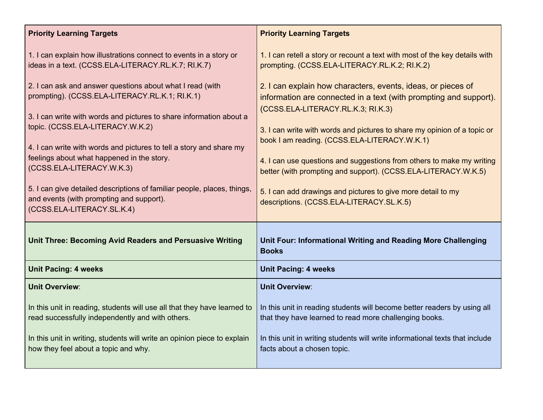| <b>Priority Learning Targets</b>                                                                                                                  | <b>Priority Learning Targets</b>                                                                         |  |
|---------------------------------------------------------------------------------------------------------------------------------------------------|----------------------------------------------------------------------------------------------------------|--|
| 1. I can explain how illustrations connect to events in a story or                                                                                | 1. I can retell a story or recount a text with most of the key details with                              |  |
| ideas in a text. (CCSS.ELA-LITERACY.RL.K.7; RI.K.7)                                                                                               | prompting. (CCSS.ELA-LITERACY.RL.K.2; RI.K.2)                                                            |  |
| 2. I can ask and answer questions about what I read (with                                                                                         | 2. I can explain how characters, events, ideas, or pieces of                                             |  |
| prompting). (CCSS.ELA-LITERACY.RL.K.1; RI.K.1)                                                                                                    | information are connected in a text (with prompting and support).                                        |  |
| 3. I can write with words and pictures to share information about a                                                                               | (CCSS.ELA-LITERACY.RL.K.3; RI.K.3)                                                                       |  |
| topic. (CCSS.ELA-LITERACY.W.K.2)                                                                                                                  | 3. I can write with words and pictures to share my opinion of a topic or                                 |  |
| 4. I can write with words and pictures to tell a story and share my                                                                               | book I am reading. (CCSS.ELA-LITERACY.W.K.1)                                                             |  |
| feelings about what happened in the story.                                                                                                        | 4. I can use questions and suggestions from others to make my writing                                    |  |
| (CCSS.ELA-LITERACY.W.K.3)                                                                                                                         | better (with prompting and support). (CCSS.ELA-LITERACY.W.K.5)                                           |  |
| 5. I can give detailed descriptions of familiar people, places, things,<br>and events (with prompting and support).<br>(CCSS.ELA-LITERACY.SL.K.4) | 5. I can add drawings and pictures to give more detail to my<br>descriptions. (CCSS.ELA-LITERACY.SL.K.5) |  |
| <b>Unit Three: Becoming Avid Readers and Persuasive Writing</b>                                                                                   | Unit Four: Informational Writing and Reading More Challenging<br><b>Books</b>                            |  |
| <b>Unit Pacing: 4 weeks</b>                                                                                                                       | <b>Unit Pacing: 4 weeks</b>                                                                              |  |
| <b>Unit Overview:</b>                                                                                                                             | <b>Unit Overview:</b>                                                                                    |  |
| In this unit in reading, students will use all that they have learned to                                                                          | In this unit in reading students will become better readers by using all                                 |  |
| read successfully independently and with others.                                                                                                  | that they have learned to read more challenging books.                                                   |  |
| In this unit in writing, students will write an opinion piece to explain                                                                          | In this unit in writing students will write informational texts that include                             |  |
| how they feel about a topic and why.                                                                                                              | facts about a chosen topic.                                                                              |  |